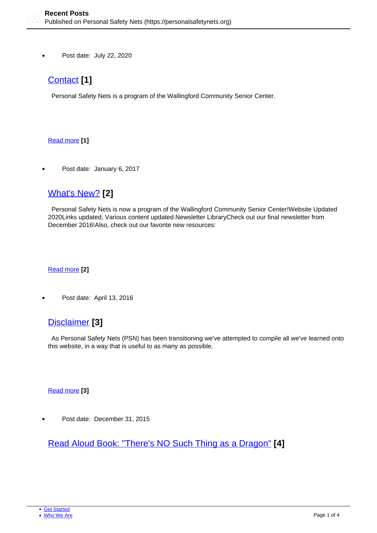Post date: July 22, 2020

# [Contact](https://personalsafetynets.org/contact) **[1]**

Personal Safety Nets is a program of the Wallingford Community Senior Center.

#### [Read more](https://personalsafetynets.org/contact) **[1]**

Post date: January 6, 2017

### [What's New?](https://personalsafetynets.org/content/whats-new) **[2]**

 Personal Safety Nets is now a program of the Wallingford Community Senior Center!Website Updated 2020Links updated, Various content updated.Newsletter LibraryCheck out our final newsletter from December 2016!Also, check out our favorite new resources:

#### [Read more](https://personalsafetynets.org/content/whats-new) **[2]**

Post date: April 13, 2016

### [Disclaimer](https://personalsafetynets.org/content/disclaimer) **[3]**

 As Personal Safety Nets (PSN) has been transitioning we've attempted to compile all we've learned onto this website, in a way that is useful to as many as possible.

#### [Read more](https://personalsafetynets.org/content/disclaimer) **[3]**

Post date: December 31, 2015

[Read Aloud Book: "There's NO Such Thing as a Dragon"](https://personalsafetynets.org/content/read-aloud-book-theres-no-such-thing-dragon) **[4]**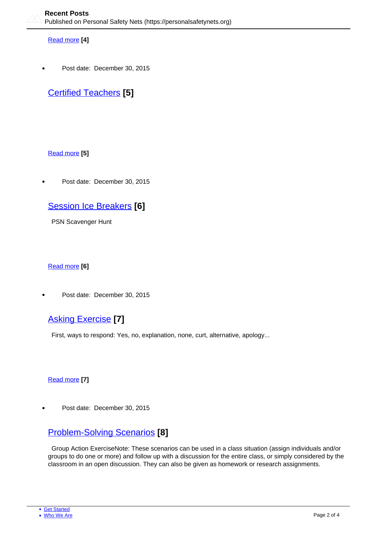#### [Read more](https://personalsafetynets.org/content/read-aloud-book-theres-no-such-thing-dragon) **[4]**

Post date: December 30, 2015

# [Certified Teachers](https://personalsafetynets.org/certified-teachers) **[5]**

#### [Read more](https://personalsafetynets.org/certified-teachers) **[5]**

Post date: December 30, 2015

## [Session Ice Breakers](https://personalsafetynets.org/content/session-ice-breakers) **[6]**

PSN Scavenger Hunt

#### [Read more](https://personalsafetynets.org/content/session-ice-breakers) **[6]**

Post date: December 30, 2015

### [Asking Exercise](https://personalsafetynets.org/content/asking-exercise) **[7]**

First, ways to respond: Yes, no, explanation, none, curt, alternative, apology...

#### [Read more](https://personalsafetynets.org/content/asking-exercise) **[7]**

Post date: December 30, 2015

## [Problem-Solving Scenarios](https://personalsafetynets.org/content/problem-solving-scenarios) **[8]**

 Group Action ExerciseNote: These scenarios can be used in a class situation (assign individuals and/or groups to do one or more) and follow up with a discussion for the entire class, or simply considered by the classroom in an open discussion. They can also be given as homework or research assignments.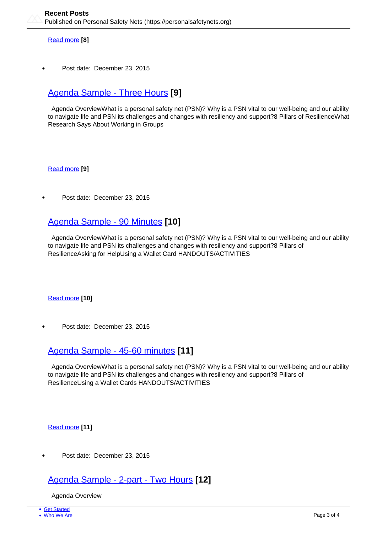[Read more](https://personalsafetynets.org/content/problem-solving-scenarios) **[8]**

Post date: December 23, 2015

## [Agenda Sample - Three Hours](https://personalsafetynets.org/content/agenda-sample-three-hours) **[9]**

 Agenda OverviewWhat is a personal safety net (PSN)? Why is a PSN vital to our well-being and our ability to navigate life and PSN its challenges and changes with resiliency and support?8 Pillars of ResilienceWhat Research Says About Working in Groups

[Read more](https://personalsafetynets.org/content/agenda-sample-three-hours) **[9]**

Post date: December 23, 2015

### [Agenda Sample - 90 Minutes](https://personalsafetynets.org/content/agenda-sample-90-minutes) **[10]**

 Agenda OverviewWhat is a personal safety net (PSN)? Why is a PSN vital to our well-being and our ability to navigate life and PSN its challenges and changes with resiliency and support?8 Pillars of ResilienceAsking for HelpUsing a Wallet Card HANDOUTS/ACTIVITIES

[Read more](https://personalsafetynets.org/content/agenda-sample-90-minutes) **[10]**

Post date: December 23, 2015

### [Agenda Sample - 45-60 minutes](https://personalsafetynets.org/content/agenda-sample-45-60-minutes) **[11]**

 Agenda OverviewWhat is a personal safety net (PSN)? Why is a PSN vital to our well-being and our ability to navigate life and PSN its challenges and changes with resiliency and support?8 Pillars of ResilienceUsing a Wallet Cards HANDOUTS/ACTIVITIES

[Read more](https://personalsafetynets.org/content/agenda-sample-45-60-minutes) **[11]**

Post date: December 23, 2015

### [Agenda Sample - 2-part - Two Hours](https://personalsafetynets.org/content/agenda-sample-2-part-two-hours) **[12]**

Agenda Overview